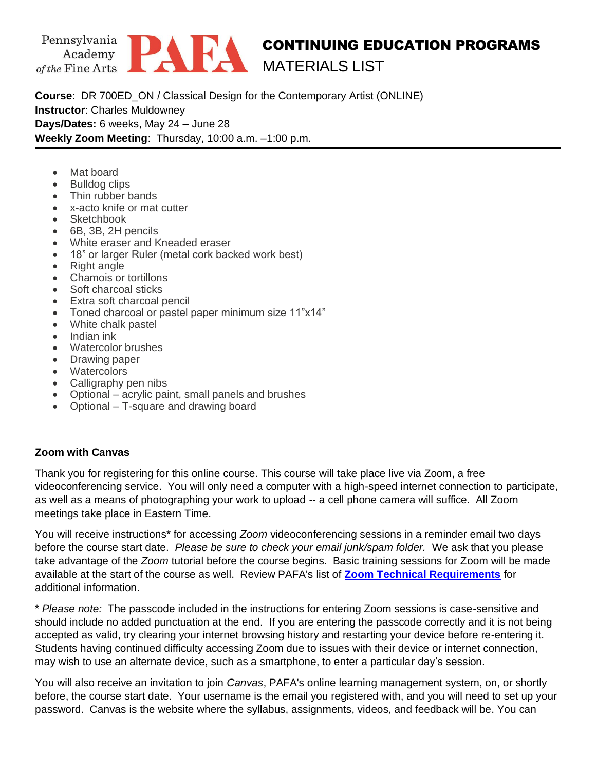

## CONTINUING EDUCATION PROGRAMS MATERIALS LIST

**Course**: DR 700ED\_ON / Classical Design for the Contemporary Artist (ONLINE) **Instructor**: Charles Muldowney **Days/Dates:** 6 weeks, May 24 – June 28 **Weekly Zoom Meeting**: Thursday, 10:00 a.m. –1:00 p.m.

- Mat board
- Bulldog clips
- Thin rubber bands
- x-acto knife or mat cutter
- Sketchbook
- 6B, 3B, 2H pencils
- White eraser and Kneaded eraser
- 18" or larger Ruler (metal cork backed work best)
- Right angle
- Chamois or tortillons
- Soft charcoal sticks
- Extra soft charcoal pencil
- Toned charcoal or pastel paper minimum size 11"x14"
- White chalk pastel
- Indian ink
- Watercolor brushes
- Drawing paper
- Watercolors
- Calligraphy pen nibs
- Optional acrylic paint, small panels and brushes
- Optional T-square and drawing board

## **Zoom with Canvas**

Thank you for registering for this online course. This course will take place live via Zoom, a free videoconferencing service. You will only need a computer with a high-speed internet connection to participate, as well as a means of photographing your work to upload -- a cell phone camera will suffice. All Zoom meetings take place in Eastern Time.

You will receive instructions\* for accessing *Zoom* videoconferencing sessions in a reminder email two days before the course start date. *Please be sure to check your email junk/spam folder.* We ask that you please take advantage of the *Zoom* tutorial before the course begins. Basic training sessions for Zoom will be made available at the start of the course as well. Review PAFA's list of **[Zoom Technical Requirements](https://www.pafa.org/sites/default/files/2020-06/Zoom%20Technical%20Requirements.pdf)** for additional information.

\* *Please note:* The passcode included in the instructions for entering Zoom sessions is case-sensitive and should include no added punctuation at the end. If you are entering the passcode correctly and it is not being accepted as valid, try clearing your internet browsing history and restarting your device before re-entering it. Students having continued difficulty accessing Zoom due to issues with their device or internet connection, may wish to use an alternate device, such as a smartphone, to enter a particular day's session.

You will also receive an invitation to join *Canvas*, PAFA's online learning management system, on, or shortly before, the course start date. Your username is the email you registered with, and you will need to set up your password. Canvas is the website where the syllabus, assignments, videos, and feedback will be. You can